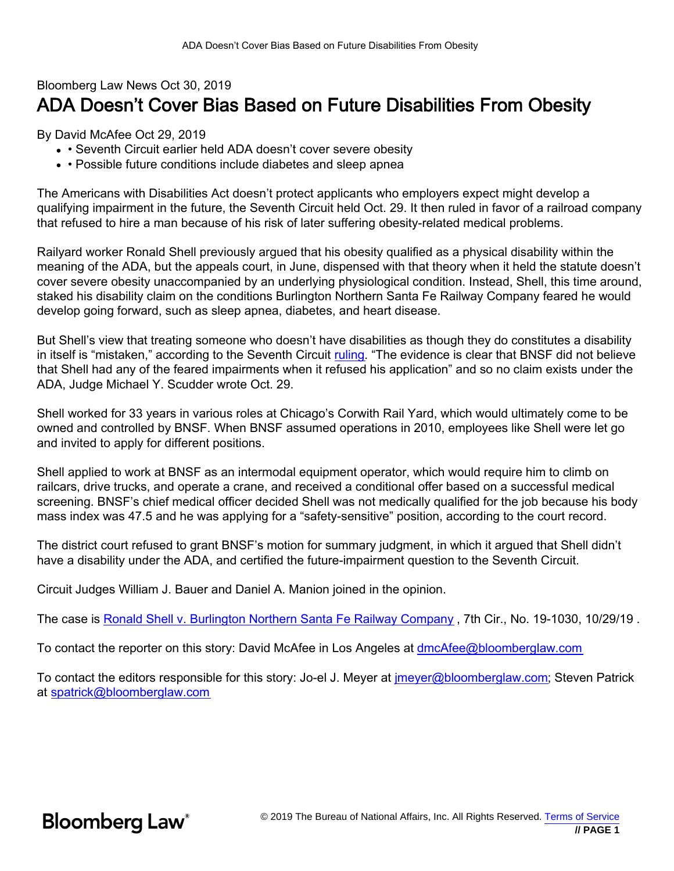## Bloomberg Law News Oct 30, 2019 ADA Doesn't Cover Bias Based on Future Disabilities From Obesity

By David McAfee Oct 29, 2019

- Seventh Circuit earlier held ADA doesn't cover severe obesity
- Possible future conditions include diabetes and sleep apnea

The Americans with Disabilities Act doesn't protect applicants who employers expect might develop a qualifying impairment in the future, the Seventh Circuit held Oct. 29. It then ruled in favor of a railroad company that refused to hire a man because of his risk of later suffering obesity-related medical problems.

Railyard worker Ronald Shell previously argued that his obesity qualified as a physical disability within the meaning of the ADA, but the appeals court, in June, dispensed with that theory when it held the statute doesn't cover severe obesity unaccompanied by an underlying physiological condition. Instead, Shell, this time around, staked his disability claim on the conditions Burlington Northern Santa Fe Railway Company feared he would develop going forward, such as sleep apnea, diabetes, and heart disease.

But Shell's view that treating someone who doesn't have disabilities as though they do constitutes a disability in itself is "mistaken," according to the Seventh Circuit [ruling](http://media.ca7.uscourts.gov/cgi-bin/rssExec.pl?Submit=Display&Path=Y2019/D10-29/C:19-1030:J:Scudder:aut:T:fnOp:N:2421660:S:0). "The evidence is clear that BNSF did not believe that Shell had any of the feared impairments when it refused his application" and so no claim exists under the ADA, Judge Michael Y. Scudder wrote Oct. 29.

Shell worked for 33 years in various roles at Chicago's Corwith Rail Yard, which would ultimately come to be owned and controlled by BNSF. When BNSF assumed operations in 2010, employees like Shell were let go and invited to apply for different positions.

Shell applied to work at BNSF as an intermodal equipment operator, which would require him to climb on railcars, drive trucks, and operate a crane, and received a conditional offer based on a successful medical screening. BNSF's chief medical officer decided Shell was not medically qualified for the job because his body mass index was 47.5 and he was applying for a "safety-sensitive" position, according to the court record.

The district court refused to grant BNSF's motion for summary judgment, in which it argued that Shell didn't have a disability under the ADA, and certified the future-impairment question to the Seventh Circuit.

Circuit Judges William J. Bauer and Daniel A. Manion joined in the opinion.

The case is [Ronald Shell v. Burlington Northern Santa Fe Railway Company](https://www.bloomberglaw.com/ms/public/document/RonaldShellvBurlingtonNorthernSantaFeRDocketNo19010307thCirJan042?doc_id=X1Q6O28075O2) , 7th Cir., No. 19-1030, 10/29/19 .

To contact the reporter on this story: David McAfee in Los Angeles at [dmcAfee@bloomberglaw.com](mailto:dmcAfee@bloomberglaw.com)

To contact the editors responsible for this story: Jo-el J. Meyer at [jmeyer@bloomberglaw.com](mailto:jmeyer@bloomberglaw.com); Steven Patrick at [spatrick@bloomberglaw.com](mailto:spatrick@bloomberglaw.com)

**Bloomberg Law**<sup>®</sup>